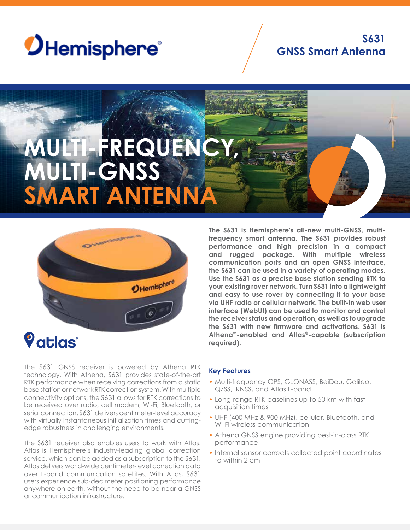

# **S631 GNSS Smart Antenna**

# **MULTI-FREQUENCY, MULTI-GNSS SMART ANTENN**



*Vatlas* 

**The S631 is Hemisphere's all-new multi-GNSS, multifrequency smart antenna. The S631 provides robust performance and high precision in a compact and rugged package. With multiple wireless communication ports and an open GNSS interface, the S631 can be used in a variety of operating modes. Use the S631 as a precise base station sending RTK to your existing rover network. Turn S631 into a lightweight and easy to use rover by connecting it to your base via UHF radio or cellular network. The built-in web user interface (WebUI) can be used to monitor and control the receiver status and operation, as well as to upgrade the S631 with new firmware and activations. S631 is Athena™-enabled and Atlas®-capable (subscription required).**

The S631 GNSS receiver is powered by Athena RTK technology. With Athena, S631 provides state-of-the-art RTK performance when receiving corrections from a static base station or network RTK correction system. With multiple connectivity options, the S631 allows for RTK corrections to be received over radio, cell modem, Wi-Fi, Bluetooth, or serial connection. S631 delivers centimeter-level accuracy with virtually instantaneous initialization times and cuttingedge robustness in challenging environments.

The S631 receiver also enables users to work with Atlas. Atlas is Hemisphere's industry-leading global correction service, which can be added as a subscription to the S631. Atlas delivers world-wide centimeter-level correction data over L-band communication satellites. With Atlas, S631 users experience sub-decimeter positioning performance anywhere on earth, without the need to be near a GNSS or communication infrastructure.

### **Key Features**

- Multi-frequency GPS, GLONASS, BeiDou, Galileo, QZSS, IRNSS, and Atlas L-band
- Long-range RTK baselines up to 50 km with fast acquisition times
- UHF (400 MHz & 900 MHz), cellular, Bluetooth, and Wi-Fi wireless communication
- Athena GNSS engine providing best-in-class RTK performance
- Internal sensor corrects collected point coordinates to within 2 cm